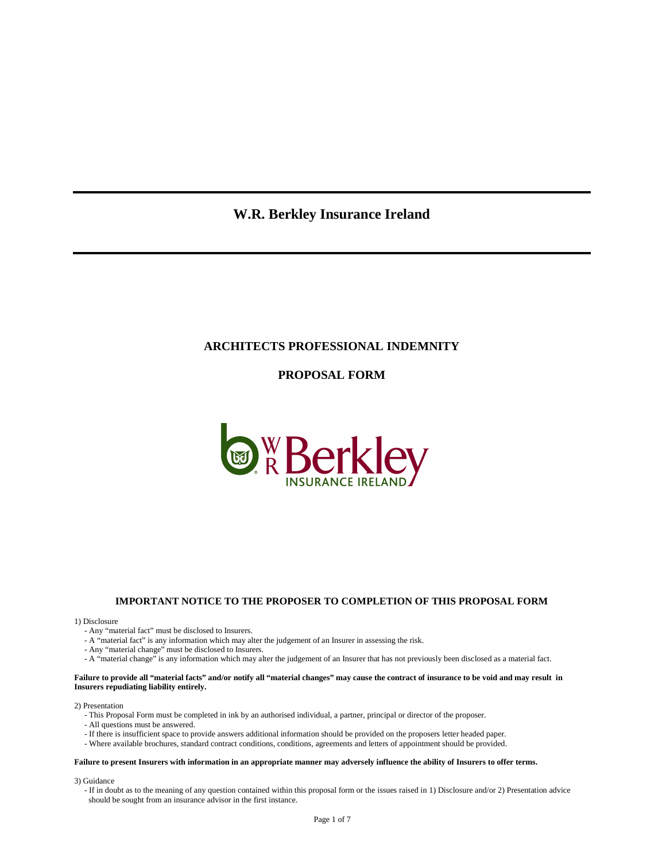# **W.R. Berkley Insurance Ireland**

# **ARCHITECTS PROFESSIONAL INDEMNITY**

**PROPOSAL FORM** 



#### **IMPORTANT NOTICE TO THE PROPOSER TO COMPLETION OF THIS PROPOSAL FORM**

1) Disclosure

- Any "material fact" must be disclosed to Insurers.
- A "material fact" is any information which may alter the judgement of an Insurer in assessing the risk.
- Any "material change" must be disclosed to Insurers.
- A "material change" is any information which may alter the judgement of an Insurer that has not previously been disclosed as a material fact.

#### **Failure to provide all "material facts" and/or notify all "material changes" may cause the contract of insurance to be void and may result in Insurers repudiating liability entirely.**

#### 2) Presentation

- This Proposal Form must be completed in ink by an authorised individual, a partner, principal or director of the proposer.
- All questions must be answered.
- If there is insufficient space to provide answers additional information should be provided on the proposers letter headed paper.
- Where available brochures, standard contract conditions, conditions, agreements and letters of appointment should be provided.

#### **Failure to present Insurers with information in an appropriate manner may adversely influence the ability of Insurers to offer terms.**

3) Guidance

 - If in doubt as to the meaning of any question contained within this proposal form or the issues raised in 1) Disclosure and/or 2) Presentation advice should be sought from an insurance advisor in the first instance.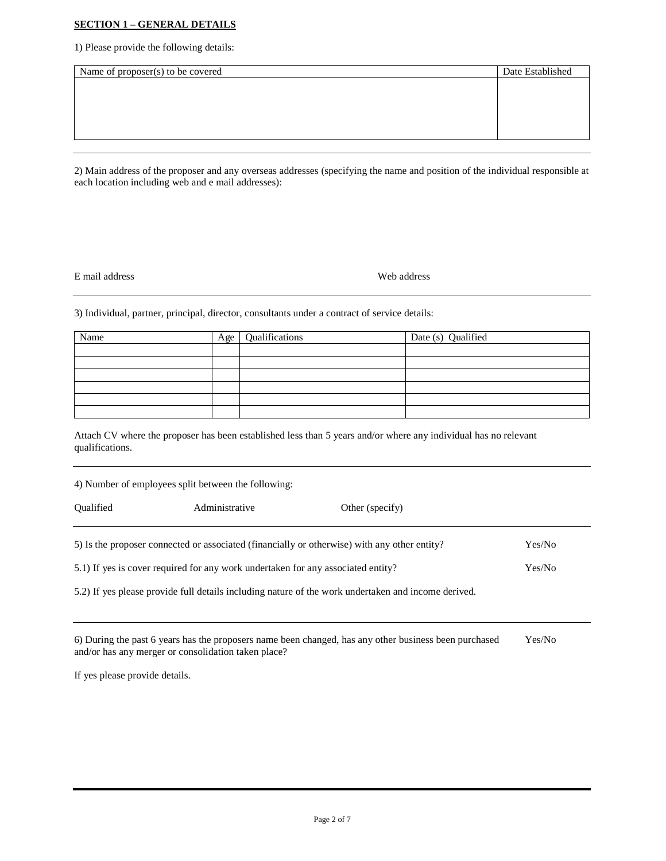# **SECTION 1 – GENERAL DETAILS**

1) Please provide the following details:

| Name of proposer(s) to be covered | Date Established |
|-----------------------------------|------------------|
|                                   |                  |
|                                   |                  |
|                                   |                  |
|                                   |                  |
|                                   |                  |

2) Main address of the proposer and any overseas addresses (specifying the name and position of the individual responsible at each location including web and e mail addresses):

E mail address Web address

3) Individual, partner, principal, director, consultants under a contract of service details:

| Name | Age 1 | Qualifications | Date (s) Qualified |
|------|-------|----------------|--------------------|
|      |       |                |                    |
|      |       |                |                    |
|      |       |                |                    |
|      |       |                |                    |
|      |       |                |                    |
|      |       |                |                    |

Attach CV where the proposer has been established less than 5 years and/or where any individual has no relevant qualifications.

| 4) Number of employees split between the following:                              |                |                                                                                                     |        |  |
|----------------------------------------------------------------------------------|----------------|-----------------------------------------------------------------------------------------------------|--------|--|
| <b>Oualified</b>                                                                 | Administrative | Other (specify)                                                                                     |        |  |
|                                                                                  |                | 5) Is the proposer connected or associated (financially or otherwise) with any other entity?        | Yes/No |  |
| 5.1) If yes is cover required for any work undertaken for any associated entity? |                |                                                                                                     | Yes/No |  |
|                                                                                  |                | 5.2) If yes please provide full details including nature of the work undertaken and income derived. |        |  |

| 6) During the past 6 years has the proposers name been changed, has any other business been purchased | Yes/No |
|-------------------------------------------------------------------------------------------------------|--------|
| and/or has any merger or consolidation taken place?                                                   |        |

If yes please provide details.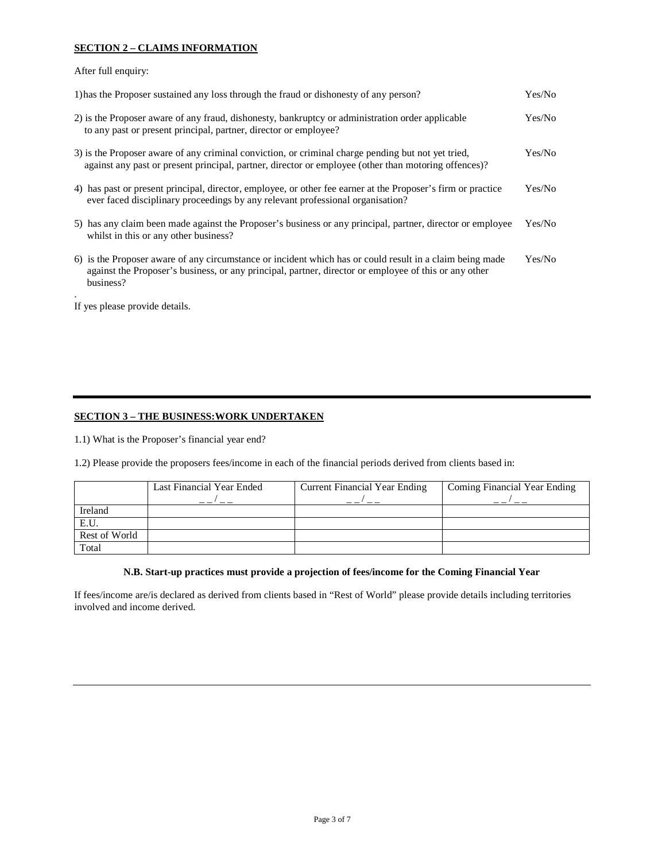# **SECTION 2 – CLAIMS INFORMATION**

After full enquiry:

| Yes/No |
|--------|
| Yes/No |
| Yes/No |
| Yes/No |
| Yes/No |
| Yes/No |
|        |

If yes please provide details.

### **SECTION 3 – THE BUSINESS:WORK UNDERTAKEN**

1.1) What is the Proposer's financial year end?

1.2) Please provide the proposers fees/income in each of the financial periods derived from clients based in:

|               | Last Financial Year Ended | <b>Current Financial Year Ending</b> | Coming Financial Year Ending |
|---------------|---------------------------|--------------------------------------|------------------------------|
| Ireland       |                           |                                      |                              |
| E.U.          |                           |                                      |                              |
| Rest of World |                           |                                      |                              |
| Total         |                           |                                      |                              |

# **N.B. Start-up practices must provide a projection of fees/income for the Coming Financial Year**

If fees/income are/is declared as derived from clients based in "Rest of World" please provide details including territories involved and income derived.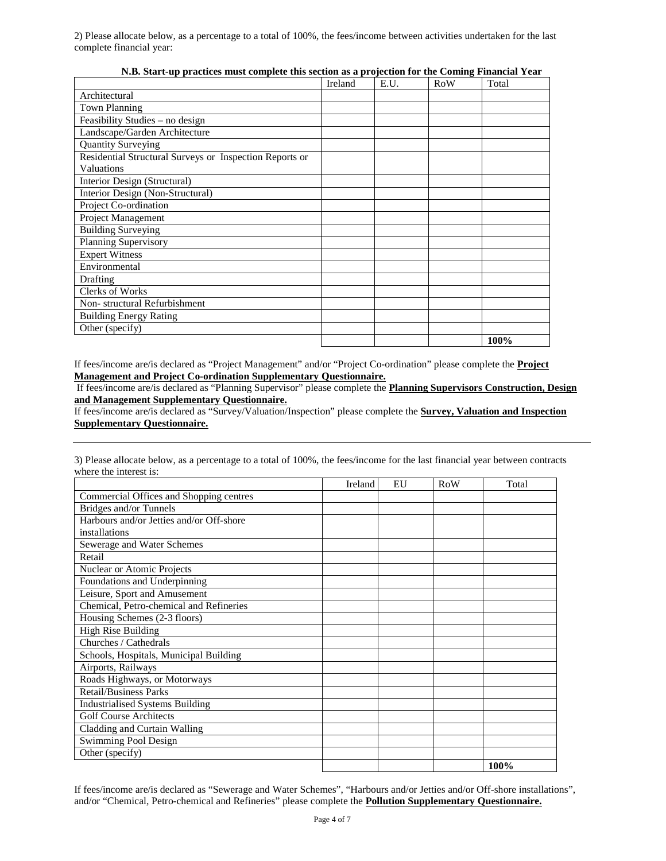2) Please allocate below, as a percentage to a total of 100%, the fees/income between activities undertaken for the last complete financial year:

|                                                         | Ireland | E.U. | <b>RoW</b> | Total |
|---------------------------------------------------------|---------|------|------------|-------|
| Architectural                                           |         |      |            |       |
| <b>Town Planning</b>                                    |         |      |            |       |
| Feasibility Studies - no design                         |         |      |            |       |
| Landscape/Garden Architecture                           |         |      |            |       |
| <b>Quantity Surveying</b>                               |         |      |            |       |
| Residential Structural Surveys or Inspection Reports or |         |      |            |       |
| Valuations                                              |         |      |            |       |
| Interior Design (Structural)                            |         |      |            |       |
| Interior Design (Non-Structural)                        |         |      |            |       |
| Project Co-ordination                                   |         |      |            |       |
| Project Management                                      |         |      |            |       |
| <b>Building Surveying</b>                               |         |      |            |       |
| Planning Supervisory                                    |         |      |            |       |
| <b>Expert Witness</b>                                   |         |      |            |       |
| Environmental                                           |         |      |            |       |
| <b>Drafting</b>                                         |         |      |            |       |
| <b>Clerks of Works</b>                                  |         |      |            |       |
| Non-structural Refurbishment                            |         |      |            |       |
| <b>Building Energy Rating</b>                           |         |      |            |       |
| Other (specify)                                         |         |      |            |       |
|                                                         |         |      |            | 100%  |

**N.B. Start-up practices must complete this section as a projection for the Coming Financial Year** 

If fees/income are/is declared as "Project Management" and/or "Project Co-ordination" please complete the **Project Management and Project Co-ordination Supplementary Questionnaire.**

 If fees/income are/is declared as "Planning Supervisor" please complete the **Planning Supervisors Construction, Design and Management Supplementary Questionnaire.**

If fees/income are/is declared as "Survey/Valuation/Inspection" please complete the **Survey, Valuation and Inspection Supplementary Questionnaire.**

|                                          | Ireland | EU | RoW | Total |
|------------------------------------------|---------|----|-----|-------|
| Commercial Offices and Shopping centres  |         |    |     |       |
| Bridges and/or Tunnels                   |         |    |     |       |
| Harbours and/or Jetties and/or Off-shore |         |    |     |       |
| installations                            |         |    |     |       |
| Sewerage and Water Schemes               |         |    |     |       |
| Retail                                   |         |    |     |       |
| Nuclear or Atomic Projects               |         |    |     |       |
| Foundations and Underpinning             |         |    |     |       |
| Leisure, Sport and Amusement             |         |    |     |       |
| Chemical, Petro-chemical and Refineries  |         |    |     |       |
| Housing Schemes (2-3 floors)             |         |    |     |       |
| High Rise Building                       |         |    |     |       |
| Churches / Cathedrals                    |         |    |     |       |
| Schools, Hospitals, Municipal Building   |         |    |     |       |
| Airports, Railways                       |         |    |     |       |
| Roads Highways, or Motorways             |         |    |     |       |
| <b>Retail/Business Parks</b>             |         |    |     |       |
| <b>Industrialised Systems Building</b>   |         |    |     |       |
| <b>Golf Course Architects</b>            |         |    |     |       |
| Cladding and Curtain Walling             |         |    |     |       |
| Swimming Pool Design                     |         |    |     |       |
| Other (specify)                          |         |    |     |       |
|                                          |         |    |     | 100%  |

3) Please allocate below, as a percentage to a total of 100%, the fees/income for the last financial year between contracts where the interest is:

If fees/income are/is declared as "Sewerage and Water Schemes", "Harbours and/or Jetties and/or Off-shore installations", and/or "Chemical, Petro-chemical and Refineries" please complete the **Pollution Supplementary Questionnaire.**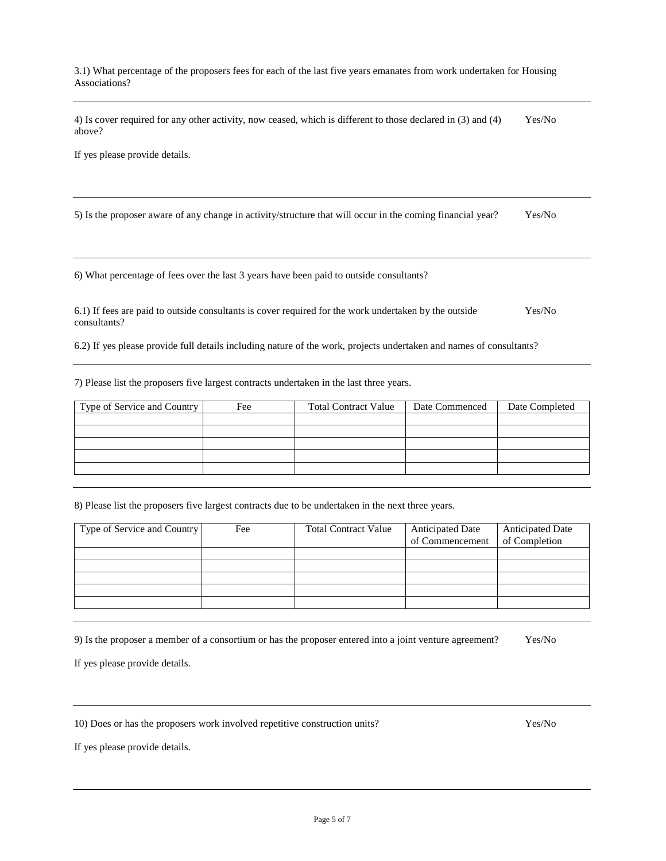3.1) What percentage of the proposers fees for each of the last five years emanates from work undertaken for Housing Associations?

4) Is cover required for any other activity, now ceased, which is different to those declared in (3) and (4) Yes/No above?

If yes please provide details.

5) Is the proposer aware of any change in activity/structure that will occur in the coming financial year? Yes/No

6) What percentage of fees over the last 3 years have been paid to outside consultants?

6.1) If fees are paid to outside consultants is cover required for the work undertaken by the outside Yes/No consultants?

6.2) If yes please provide full details including nature of the work, projects undertaken and names of consultants?

7) Please list the proposers five largest contracts undertaken in the last three years.

| Type of Service and Country | Fee | <b>Total Contract Value</b> | Date Commenced | Date Completed |
|-----------------------------|-----|-----------------------------|----------------|----------------|
|                             |     |                             |                |                |
|                             |     |                             |                |                |
|                             |     |                             |                |                |
|                             |     |                             |                |                |
|                             |     |                             |                |                |

8) Please list the proposers five largest contracts due to be undertaken in the next three years.

| Type of Service and Country<br>Fee | <b>Total Contract Value</b> | <b>Anticipated Date</b> | <b>Anticipated Date</b> |
|------------------------------------|-----------------------------|-------------------------|-------------------------|
|                                    |                             |                         | of Completion           |
|                                    |                             |                         |                         |
|                                    |                             |                         |                         |
|                                    |                             |                         |                         |
|                                    |                             |                         |                         |
|                                    |                             |                         |                         |
|                                    |                             |                         | of Commencement         |

9) Is the proposer a member of a consortium or has the proposer entered into a joint venture agreement? Yes/No

If yes please provide details.

10) Does or has the proposers work involved repetitive construction units? Yes/No

If yes please provide details.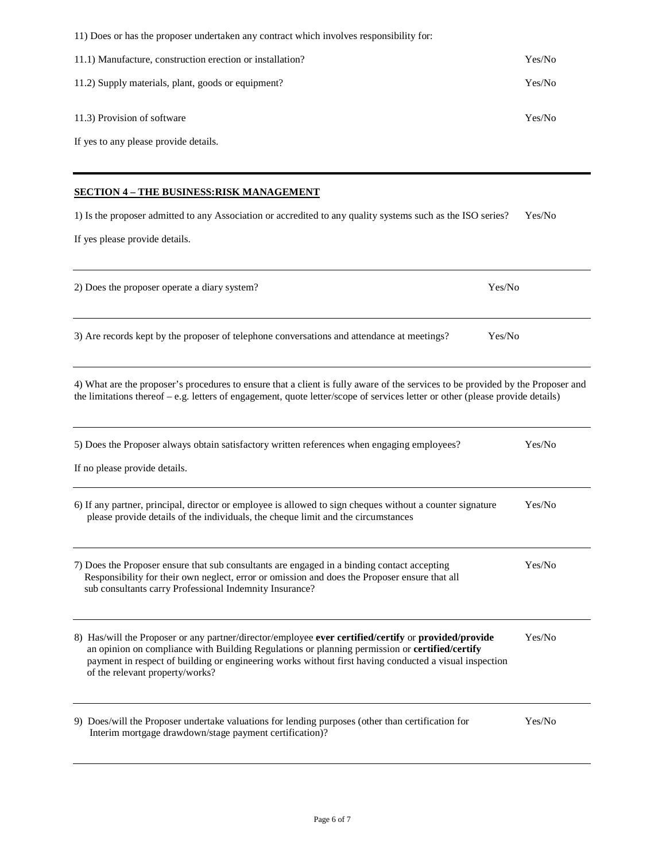| 11) Does or has the proposer undertaken any contract which involves responsibility for:                                                                                                                                                                                                                                                             |        |
|-----------------------------------------------------------------------------------------------------------------------------------------------------------------------------------------------------------------------------------------------------------------------------------------------------------------------------------------------------|--------|
| 11.1) Manufacture, construction erection or installation?                                                                                                                                                                                                                                                                                           | Yes/No |
| 11.2) Supply materials, plant, goods or equipment?                                                                                                                                                                                                                                                                                                  | Yes/No |
| 11.3) Provision of software                                                                                                                                                                                                                                                                                                                         | Yes/No |
| If yes to any please provide details.                                                                                                                                                                                                                                                                                                               |        |
| <b>SECTION 4 – THE BUSINESS:RISK MANAGEMENT</b>                                                                                                                                                                                                                                                                                                     |        |
| 1) Is the proposer admitted to any Association or accredited to any quality systems such as the ISO series?                                                                                                                                                                                                                                         | Yes/No |
| If yes please provide details.                                                                                                                                                                                                                                                                                                                      |        |
| 2) Does the proposer operate a diary system?<br>Yes/No                                                                                                                                                                                                                                                                                              |        |
| 3) Are records kept by the proposer of telephone conversations and attendance at meetings?<br>Yes/No                                                                                                                                                                                                                                                |        |
| 4) What are the proposer's procedures to ensure that a client is fully aware of the services to be provided by the Proposer and<br>the limitations thereof $-e.g.$ letters of engagement, quote letter/scope of services letter or other (please provide details)                                                                                   |        |
| 5) Does the Proposer always obtain satisfactory written references when engaging employees?                                                                                                                                                                                                                                                         | Yes/No |
| If no please provide details.                                                                                                                                                                                                                                                                                                                       |        |
| 6) If any partner, principal, director or employee is allowed to sign cheques without a counter signature<br>please provide details of the individuals, the cheque limit and the circumstances                                                                                                                                                      | Yes/No |
| 7) Does the Proposer ensure that sub consultants are engaged in a binding contact accepting<br>Responsibility for their own neglect, error or omission and does the Proposer ensure that all<br>sub consultants carry Professional Indemnity Insurance?                                                                                             | Yes/No |
| 8) Has/will the Proposer or any partner/director/employee ever certified/certify or provided/provide<br>an opinion on compliance with Building Regulations or planning permission or certified/certify<br>payment in respect of building or engineering works without first having conducted a visual inspection<br>of the relevant property/works? | Yes/No |
| 9) Does/will the Proposer undertake valuations for lending purposes (other than certification for<br>Interim mortgage drawdown/stage payment certification)?                                                                                                                                                                                        | Yes/No |